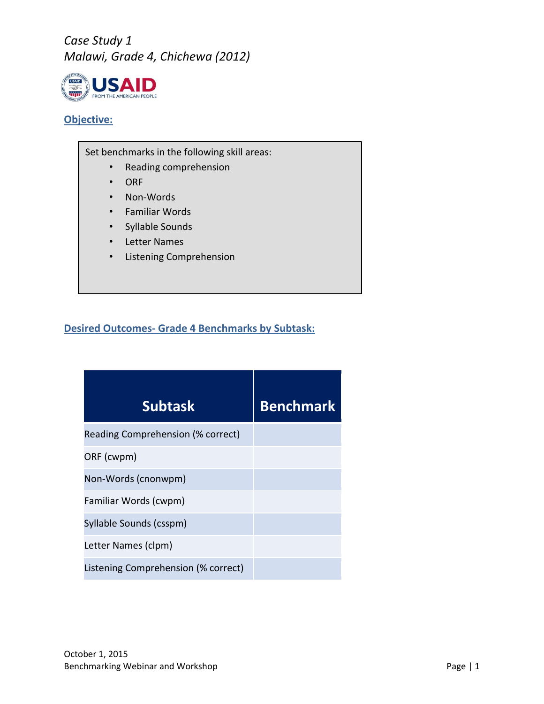

#### **Objective:**

Set benchmarks in the following skill areas:

- Reading comprehension
- ORF
- Non-Words
- Familiar Words
- Syllable Sounds
- Letter Names
- Listening Comprehension

#### **Desired Outcomes- Grade 4 Benchmarks by Subtask:**

| <b>Subtask</b>                      | <b>Benchmark</b> |
|-------------------------------------|------------------|
| Reading Comprehension (% correct)   |                  |
| ORF (cwpm)                          |                  |
| Non-Words (cnonwpm)                 |                  |
| Familiar Words (cwpm)               |                  |
| Syllable Sounds (csspm)             |                  |
| Letter Names (clpm)                 |                  |
| Listening Comprehension (% correct) |                  |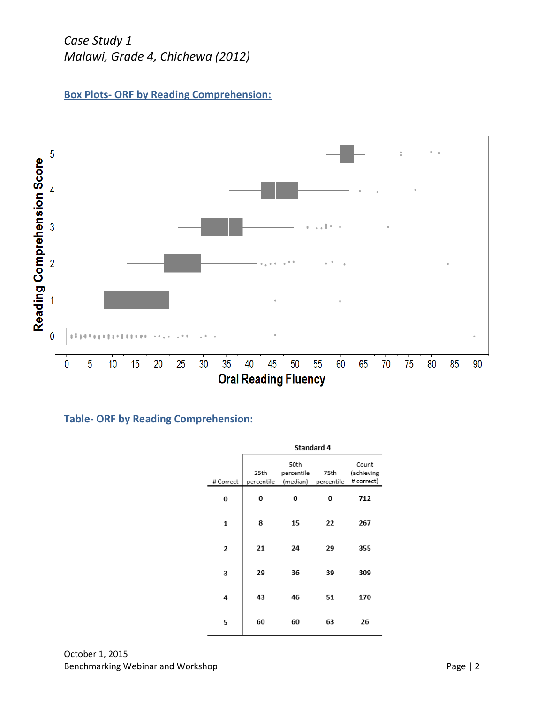



### **Table- ORF by Reading Comprehension:**

|           | Standard 4         |                                |                    |                                   |  |  |
|-----------|--------------------|--------------------------------|--------------------|-----------------------------------|--|--|
| # Correct | 25th<br>percentile | 50th<br>percentile<br>(median) | 75th<br>percentile | Count<br>(achieving<br># correct) |  |  |
| 0         | 0                  | 0                              | 0                  | 712                               |  |  |
| 1         | 8                  | 15                             | 22                 | 267                               |  |  |
| 2         | 21                 | 24                             | 29                 | 355                               |  |  |
| 3         | 29                 | 36                             | 39                 | 309                               |  |  |
| 4         | 43                 | 46                             | 51                 | 170                               |  |  |
| 5         | 60                 | 60                             | 63                 | 26                                |  |  |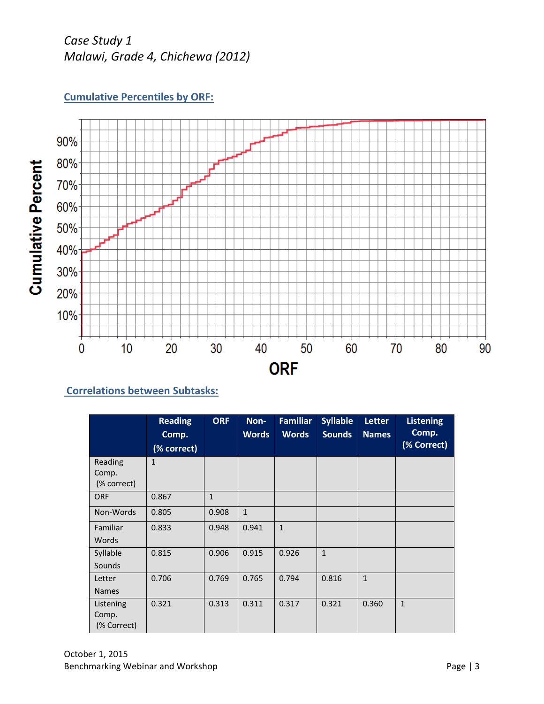



### **Correlations between Subtasks:**

|                                   | <b>Reading</b><br>Comp.<br>(% correct) | <b>ORF</b>   | Non-<br><b>Words</b> | <b>Familiar</b><br><b>Words</b> | <b>Syllable</b><br><b>Sounds</b> | <b>Letter</b><br><b>Names</b> | <b>Listening</b><br>Comp.<br>(% Correct) |
|-----------------------------------|----------------------------------------|--------------|----------------------|---------------------------------|----------------------------------|-------------------------------|------------------------------------------|
| Reading<br>Comp.<br>(% correct)   | $\mathbf{1}$                           |              |                      |                                 |                                  |                               |                                          |
| <b>ORF</b>                        | 0.867                                  | $\mathbf{1}$ |                      |                                 |                                  |                               |                                          |
| Non-Words                         | 0.805                                  | 0.908        | $\mathbf{1}$         |                                 |                                  |                               |                                          |
| Familiar<br>Words                 | 0.833                                  | 0.948        | 0.941                | $\mathbf{1}$                    |                                  |                               |                                          |
| Syllable<br>Sounds                | 0.815                                  | 0.906        | 0.915                | 0.926                           | $\mathbf{1}$                     |                               |                                          |
| Letter<br><b>Names</b>            | 0.706                                  | 0.769        | 0.765                | 0.794                           | 0.816                            | $\mathbf{1}$                  |                                          |
| Listening<br>Comp.<br>(% Correct) | 0.321                                  | 0.313        | 0.311                | 0.317                           | 0.321                            | 0.360                         | $\mathbf{1}$                             |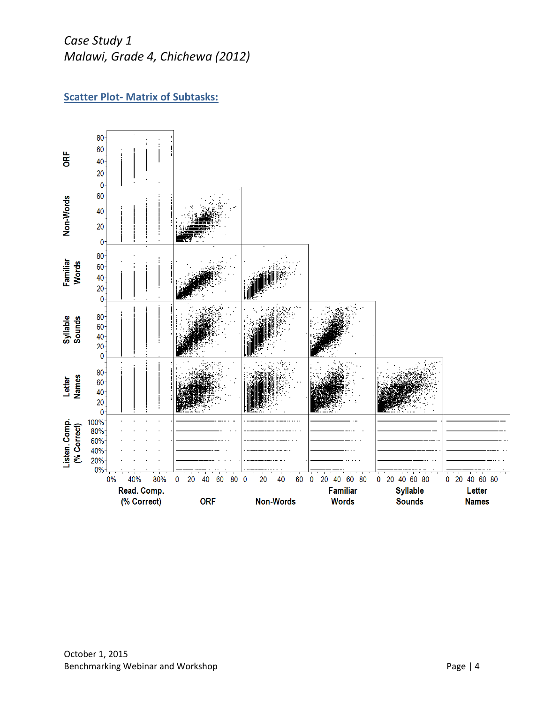### **Scatter Plot- Matrix of Subtasks:**

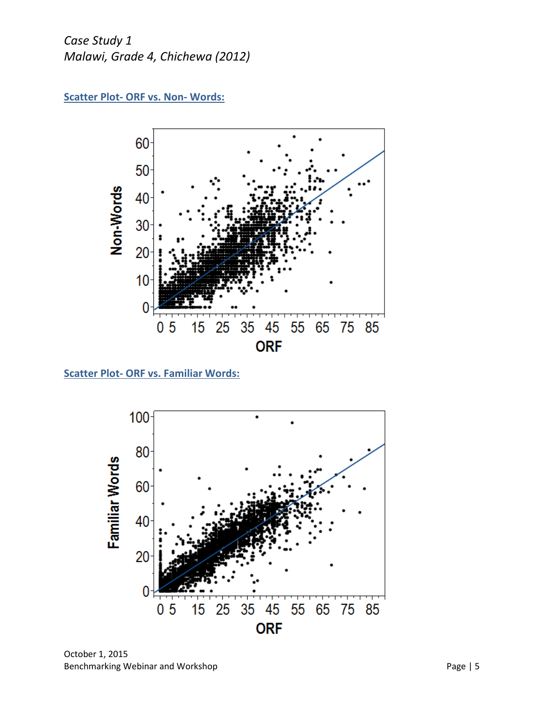



**Scatter Plot- ORF vs. Familiar Words:**



October 1, 2015 Benchmarking Webinar and Workshop **Page 15** Page | 5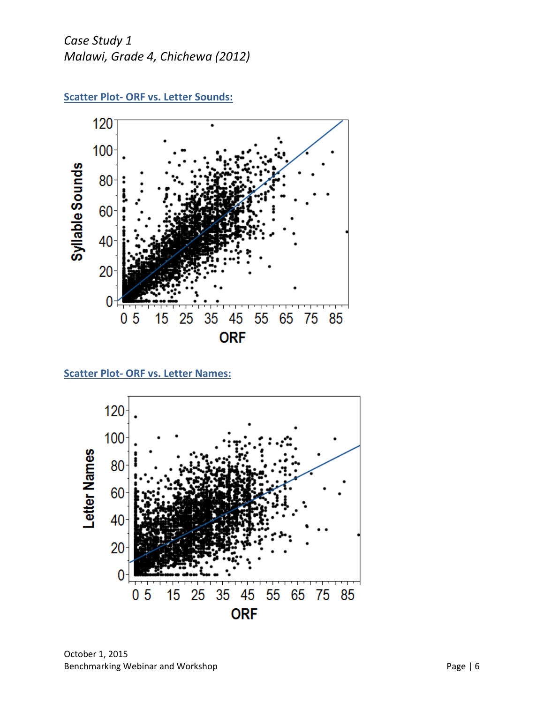

**Scatter Plot- ORF vs. Letter Sounds:**

**Scatter Plot- ORF vs. Letter Names:**



October 1, 2015 Benchmarking Webinar and Workshop **Page 16** Page | 6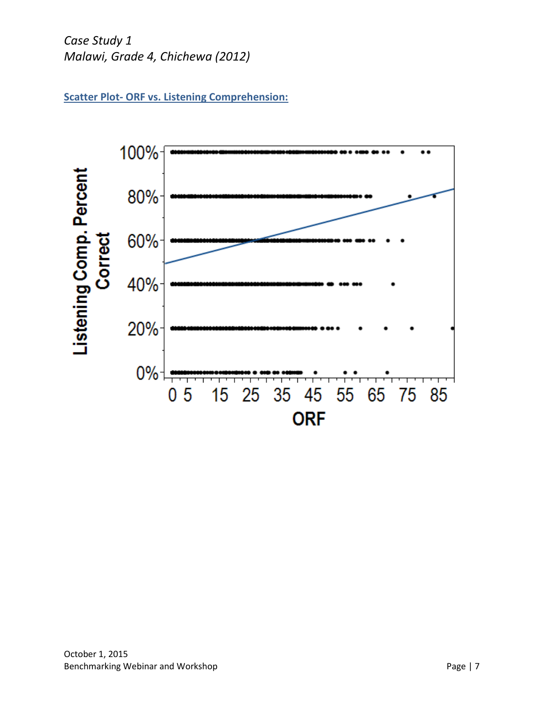**Scatter Plot- ORF vs. Listening Comprehension:**

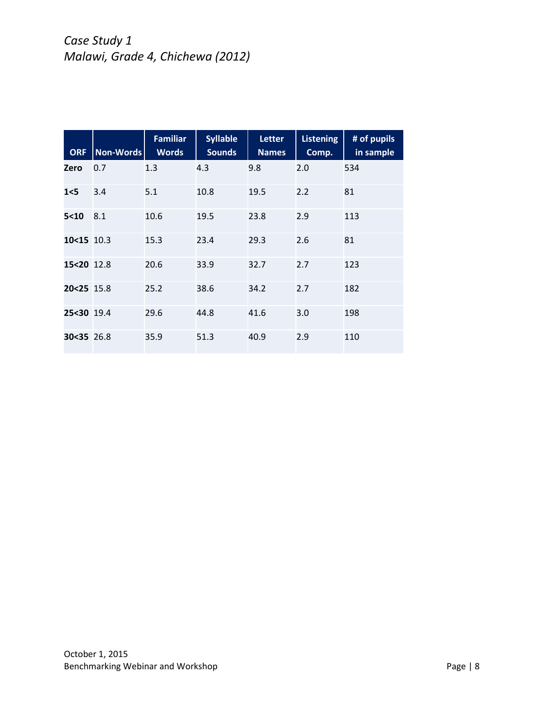| <b>ORF</b> | Non-Words | <b>Familiar</b><br><b>Words</b> | <b>Syllable</b><br><b>Sounds</b> | <b>Letter</b><br><b>Names</b> | <b>Listening</b><br>Comp. | # of pupils<br>in sample |
|------------|-----------|---------------------------------|----------------------------------|-------------------------------|---------------------------|--------------------------|
| Zero       | 0.7       | 1.3                             | 4.3                              | 9.8                           | 2.0                       | 534                      |
| 1<5        | 3.4       | 5.1                             | 10.8                             | 19.5                          | 2.2                       | 81                       |
| 5<10       | 8.1       | 10.6                            | 19.5                             | 23.8                          | 2.9                       | 113                      |
| 10<15 10.3 |           | 15.3                            | 23.4                             | 29.3                          | 2.6                       | 81                       |
| 15<20 12.8 |           | 20.6                            | 33.9                             | 32.7                          | 2.7                       | 123                      |
| 20<25 15.8 |           | 25.2                            | 38.6                             | 34.2                          | 2.7                       | 182                      |
| 25<30 19.4 |           | 29.6                            | 44.8                             | 41.6                          | 3.0                       | 198                      |
| 30<35 26.8 |           | 35.9                            | 51.3                             | 40.9                          | 2.9                       | 110                      |